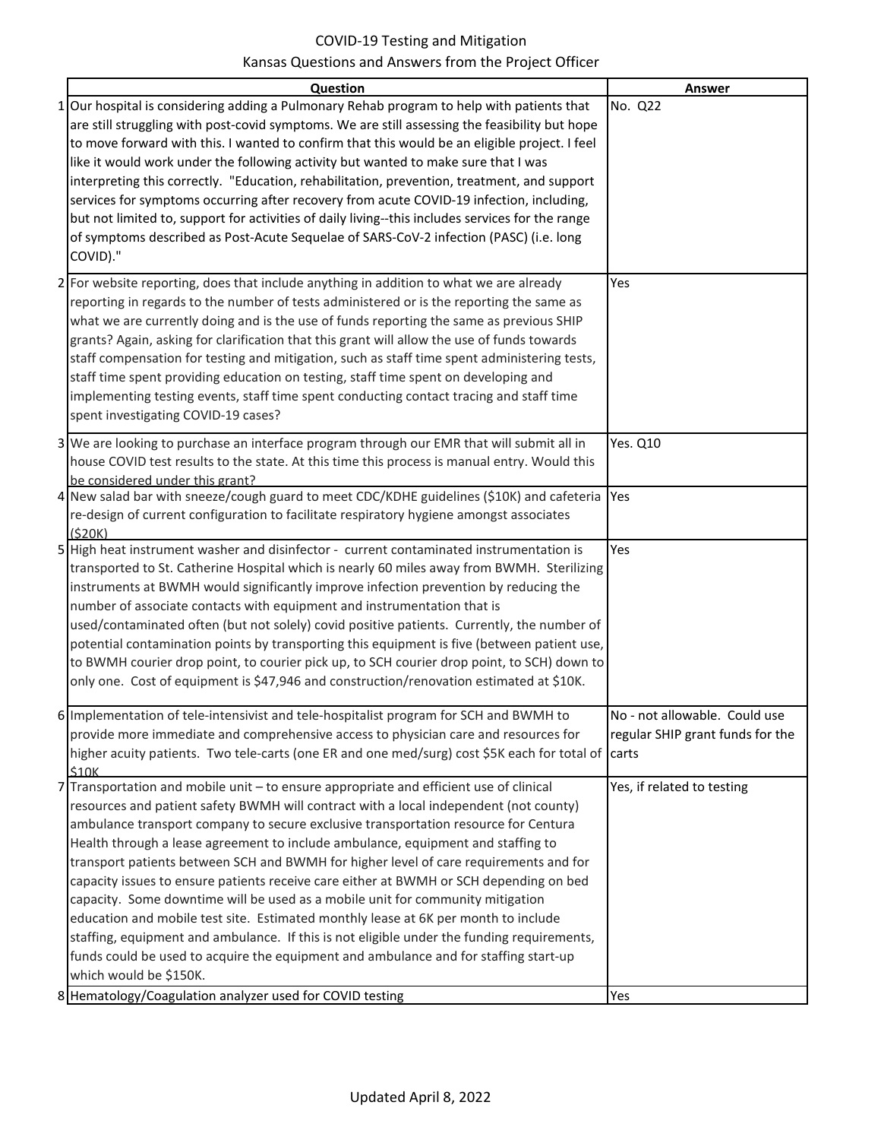| Question                                                                                                     | <b>Answer</b>                    |
|--------------------------------------------------------------------------------------------------------------|----------------------------------|
| No. Q22<br>1 Our hospital is considering adding a Pulmonary Rehab program to help with patients that         |                                  |
| are still struggling with post-covid symptoms. We are still assessing the feasibility but hope               |                                  |
| to move forward with this. I wanted to confirm that this would be an eligible project. I feel                |                                  |
| like it would work under the following activity but wanted to make sure that I was                           |                                  |
| interpreting this correctly. "Education, rehabilitation, prevention, treatment, and support                  |                                  |
| services for symptoms occurring after recovery from acute COVID-19 infection, including,                     |                                  |
| but not limited to, support for activities of daily living--this includes services for the range             |                                  |
| of symptoms described as Post-Acute Sequelae of SARS-CoV-2 infection (PASC) (i.e. long                       |                                  |
| COVID)."                                                                                                     |                                  |
|                                                                                                              |                                  |
| 2 For website reporting, does that include anything in addition to what we are already<br>Yes                |                                  |
| reporting in regards to the number of tests administered or is the reporting the same as                     |                                  |
| what we are currently doing and is the use of funds reporting the same as previous SHIP                      |                                  |
| grants? Again, asking for clarification that this grant will allow the use of funds towards                  |                                  |
| staff compensation for testing and mitigation, such as staff time spent administering tests,                 |                                  |
| staff time spent providing education on testing, staff time spent on developing and                          |                                  |
| implementing testing events, staff time spent conducting contact tracing and staff time                      |                                  |
| spent investigating COVID-19 cases?                                                                          |                                  |
| 3 We are looking to purchase an interface program through our EMR that will submit all in<br><b>Yes. Q10</b> |                                  |
| house COVID test results to the state. At this time this process is manual entry. Would this                 |                                  |
| be considered under this grant?                                                                              |                                  |
| 4 New salad bar with sneeze/cough guard to meet CDC/KDHE guidelines (\$10K) and cafeteria<br>Yes             |                                  |
| re-design of current configuration to facilitate respiratory hygiene amongst associates                      |                                  |
| (S20K)                                                                                                       |                                  |
| 5 High heat instrument washer and disinfector - current contaminated instrumentation is<br>Yes               |                                  |
| transported to St. Catherine Hospital which is nearly 60 miles away from BWMH. Sterilizing                   |                                  |
| instruments at BWMH would significantly improve infection prevention by reducing the                         |                                  |
| number of associate contacts with equipment and instrumentation that is                                      |                                  |
| used/contaminated often (but not solely) covid positive patients. Currently, the number of                   |                                  |
| potential contamination points by transporting this equipment is five (between patient use,                  |                                  |
| to BWMH courier drop point, to courier pick up, to SCH courier drop point, to SCH) down to                   |                                  |
| only one. Cost of equipment is \$47,946 and construction/renovation estimated at \$10K.                      |                                  |
|                                                                                                              |                                  |
| 6 Implementation of tele-intensivist and tele-hospitalist program for SCH and BWMH to                        | No - not allowable. Could use    |
| provide more immediate and comprehensive access to physician care and resources for                          | regular SHIP grant funds for the |
| higher acuity patients. Two tele-carts (one ER and one med/surg) cost \$5K each for total of carts           |                                  |
| \$10K<br>Transportation and mobile unit - to ensure appropriate and efficient use of clinical<br>7           | Yes, if related to testing       |
| resources and patient safety BWMH will contract with a local independent (not county)                        |                                  |
| ambulance transport company to secure exclusive transportation resource for Centura                          |                                  |
| Health through a lease agreement to include ambulance, equipment and staffing to                             |                                  |
| transport patients between SCH and BWMH for higher level of care requirements and for                        |                                  |
| capacity issues to ensure patients receive care either at BWMH or SCH depending on bed                       |                                  |
| capacity. Some downtime will be used as a mobile unit for community mitigation                               |                                  |
| education and mobile test site. Estimated monthly lease at 6K per month to include                           |                                  |
| staffing, equipment and ambulance. If this is not eligible under the funding requirements,                   |                                  |
| funds could be used to acquire the equipment and ambulance and for staffing start-up                         |                                  |
| which would be \$150K.                                                                                       |                                  |
| 8 Hematology/Coagulation analyzer used for COVID testing<br>Yes                                              |                                  |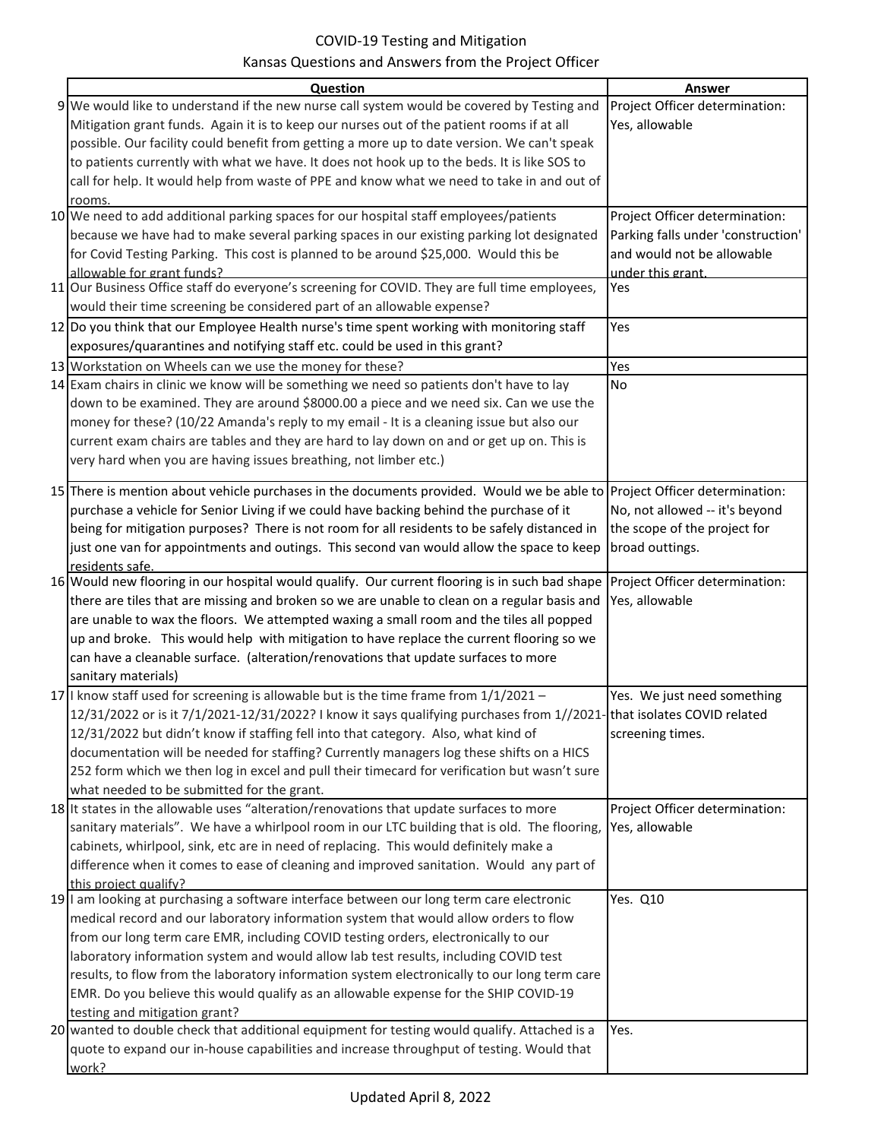| Question                                                                                                                                         | Answer                             |
|--------------------------------------------------------------------------------------------------------------------------------------------------|------------------------------------|
| 9 We would like to understand if the new nurse call system would be covered by Testing and                                                       | Project Officer determination:     |
| Mitigation grant funds. Again it is to keep our nurses out of the patient rooms if at all                                                        | Yes, allowable                     |
| possible. Our facility could benefit from getting a more up to date version. We can't speak                                                      |                                    |
| to patients currently with what we have. It does not hook up to the beds. It is like SOS to                                                      |                                    |
| call for help. It would help from waste of PPE and know what we need to take in and out of                                                       |                                    |
| rooms.                                                                                                                                           |                                    |
| 10 We need to add additional parking spaces for our hospital staff employees/patients                                                            | Project Officer determination:     |
| because we have had to make several parking spaces in our existing parking lot designated                                                        | Parking falls under 'construction' |
| for Covid Testing Parking. This cost is planned to be around \$25,000. Would this be                                                             | and would not be allowable         |
| allowable for grant funds?                                                                                                                       | under this grant.                  |
| 11 Our Business Office staff do everyone's screening for COVID. They are full time employees,                                                    | Yes                                |
| would their time screening be considered part of an allowable expense?                                                                           |                                    |
| 12 Do you think that our Employee Health nurse's time spent working with monitoring staff                                                        | Yes                                |
| exposures/quarantines and notifying staff etc. could be used in this grant?                                                                      |                                    |
| 13 Workstation on Wheels can we use the money for these?                                                                                         | Yes                                |
| 14 Exam chairs in clinic we know will be something we need so patients don't have to lay                                                         | No                                 |
| down to be examined. They are around \$8000.00 a piece and we need six. Can we use the                                                           |                                    |
| money for these? (10/22 Amanda's reply to my email - It is a cleaning issue but also our                                                         |                                    |
| current exam chairs are tables and they are hard to lay down on and or get up on. This is                                                        |                                    |
| very hard when you are having issues breathing, not limber etc.)                                                                                 |                                    |
|                                                                                                                                                  |                                    |
| 15 There is mention about vehicle purchases in the documents provided. Would we be able to Project Officer determination:                        |                                    |
| purchase a vehicle for Senior Living if we could have backing behind the purchase of it                                                          | No, not allowed -- it's beyond     |
| being for mitigation purposes? There is not room for all residents to be safely distanced in                                                     | the scope of the project for       |
| just one van for appointments and outings. This second van would allow the space to keep                                                         | broad outtings.                    |
| residents safe.<br>16 Would new flooring in our hospital would qualify. Our current flooring is in such bad shape Project Officer determination: |                                    |
| there are tiles that are missing and broken so we are unable to clean on a regular basis and                                                     | Yes, allowable                     |
| are unable to wax the floors. We attempted waxing a small room and the tiles all popped                                                          |                                    |
| up and broke. This would help with mitigation to have replace the current flooring so we                                                         |                                    |
| can have a cleanable surface. (alteration/renovations that update surfaces to more                                                               |                                    |
| sanitary materials)                                                                                                                              |                                    |
| 17 I know staff used for screening is allowable but is the time frame from $1/1/2021 -$                                                          | Yes. We just need something        |
| 12/31/2022 or is it 7/1/2021-12/31/2022? I know it says qualifying purchases from 1//2021-that isolates COVID related                            |                                    |
| 12/31/2022 but didn't know if staffing fell into that category. Also, what kind of                                                               | screening times.                   |
| documentation will be needed for staffing? Currently managers log these shifts on a HICS                                                         |                                    |
| 252 form which we then log in excel and pull their timecard for verification but wasn't sure                                                     |                                    |
| what needed to be submitted for the grant.                                                                                                       |                                    |
| 18 It states in the allowable uses "alteration/renovations that update surfaces to more                                                          | Project Officer determination:     |
| sanitary materials". We have a whirlpool room in our LTC building that is old. The flooring,                                                     | Yes, allowable                     |
| cabinets, whirlpool, sink, etc are in need of replacing. This would definitely make a                                                            |                                    |
| difference when it comes to ease of cleaning and improved sanitation. Would any part of                                                          |                                    |
| this project qualify?                                                                                                                            |                                    |
| 19 I am looking at purchasing a software interface between our long term care electronic                                                         | Yes. Q10                           |
| medical record and our laboratory information system that would allow orders to flow                                                             |                                    |
| from our long term care EMR, including COVID testing orders, electronically to our                                                               |                                    |
| laboratory information system and would allow lab test results, including COVID test                                                             |                                    |
| results, to flow from the laboratory information system electronically to our long term care                                                     |                                    |
| EMR. Do you believe this would qualify as an allowable expense for the SHIP COVID-19                                                             |                                    |
| testing and mitigation grant?                                                                                                                    |                                    |
| 20 wanted to double check that additional equipment for testing would qualify. Attached is a                                                     | Yes.                               |
| quote to expand our in-house capabilities and increase throughput of testing. Would that                                                         |                                    |
| work?                                                                                                                                            |                                    |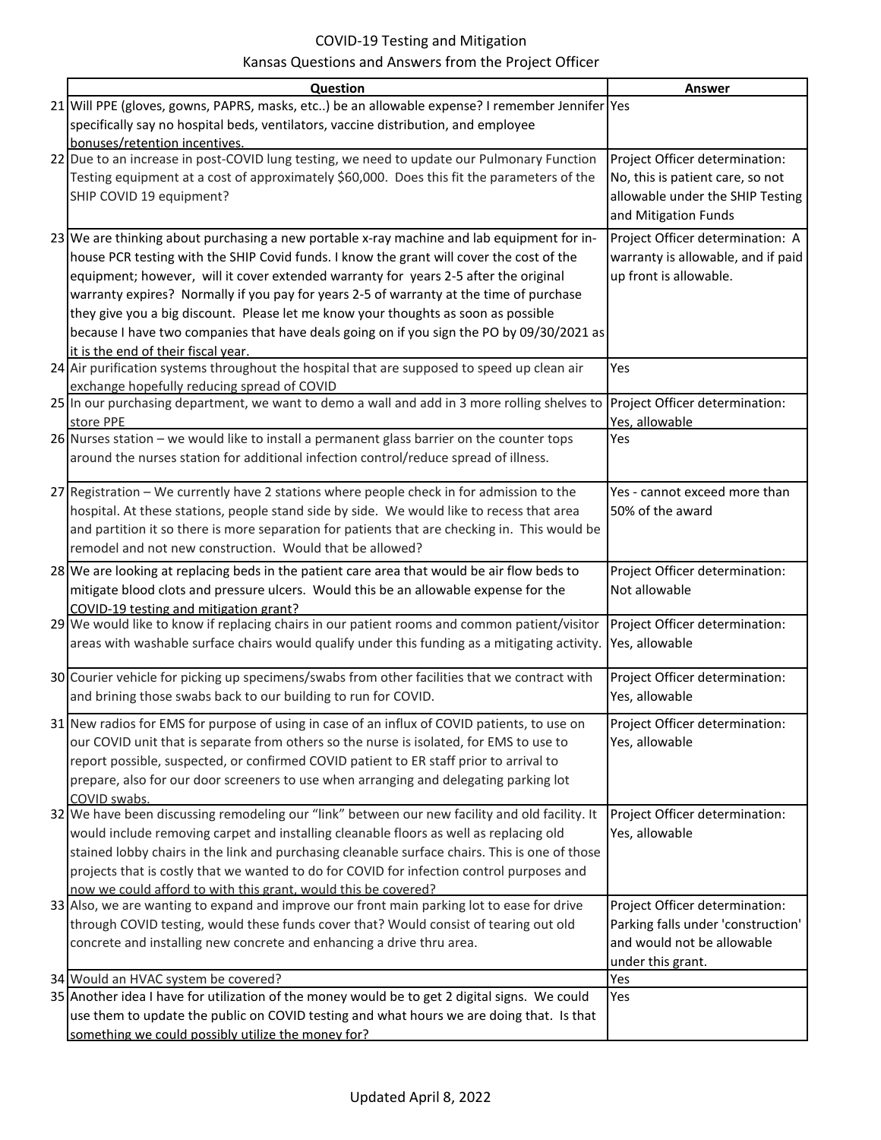| Question                                                                                                                                                     | Answer                             |
|--------------------------------------------------------------------------------------------------------------------------------------------------------------|------------------------------------|
| 21 Will PPE (gloves, gowns, PAPRS, masks, etc) be an allowable expense? I remember Jennifer Yes                                                              |                                    |
| specifically say no hospital beds, ventilators, vaccine distribution, and employee                                                                           |                                    |
| bonuses/retention incentives.                                                                                                                                |                                    |
| 22 Due to an increase in post-COVID lung testing, we need to update our Pulmonary Function                                                                   | Project Officer determination:     |
| Testing equipment at a cost of approximately \$60,000. Does this fit the parameters of the                                                                   | No, this is patient care, so not   |
| SHIP COVID 19 equipment?                                                                                                                                     | allowable under the SHIP Testing   |
|                                                                                                                                                              | and Mitigation Funds               |
| 23 We are thinking about purchasing a new portable x-ray machine and lab equipment for in-                                                                   | Project Officer determination: A   |
| house PCR testing with the SHIP Covid funds. I know the grant will cover the cost of the                                                                     | warranty is allowable, and if paid |
| equipment; however, will it cover extended warranty for years 2-5 after the original                                                                         | up front is allowable.             |
| warranty expires? Normally if you pay for years 2-5 of warranty at the time of purchase                                                                      |                                    |
| they give you a big discount. Please let me know your thoughts as soon as possible                                                                           |                                    |
| because I have two companies that have deals going on if you sign the PO by 09/30/2021 as                                                                    |                                    |
| it is the end of their fiscal year.                                                                                                                          |                                    |
| 24 Air purification systems throughout the hospital that are supposed to speed up clean air<br>exchange hopefully reducing spread of COVID                   | Yes                                |
| 25 In our purchasing department, we want to demo a wall and add in 3 more rolling shelves to                                                                 | Project Officer determination:     |
| store PPE                                                                                                                                                    | Yes, allowable                     |
| $26$ Nurses station – we would like to install a permanent glass barrier on the counter tops                                                                 | Yes                                |
| around the nurses station for additional infection control/reduce spread of illness.                                                                         |                                    |
|                                                                                                                                                              |                                    |
| 27 Registration - We currently have 2 stations where people check in for admission to the                                                                    | Yes - cannot exceed more than      |
| hospital. At these stations, people stand side by side. We would like to recess that area                                                                    | 50% of the award                   |
| and partition it so there is more separation for patients that are checking in. This would be                                                                |                                    |
| remodel and not new construction. Would that be allowed?                                                                                                     |                                    |
| 28 We are looking at replacing beds in the patient care area that would be air flow beds to                                                                  | Project Officer determination:     |
| mitigate blood clots and pressure ulcers. Would this be an allowable expense for the                                                                         | Not allowable                      |
| COVID-19 testing and mitigation grant?<br>29 We would like to know if replacing chairs in our patient rooms and common patient/visitor                       | Project Officer determination:     |
| areas with washable surface chairs would qualify under this funding as a mitigating activity.                                                                | Yes, allowable                     |
|                                                                                                                                                              |                                    |
| 30 Courier vehicle for picking up specimens/swabs from other facilities that we contract with                                                                | Project Officer determination:     |
| and brining those swabs back to our building to run for COVID.                                                                                               | Yes, allowable                     |
| 31 New radios for EMS for purpose of using in case of an influx of COVID patients, to use on                                                                 | Project Officer determination:     |
| our COVID unit that is separate from others so the nurse is isolated, for EMS to use to                                                                      | Yes, allowable                     |
| report possible, suspected, or confirmed COVID patient to ER staff prior to arrival to                                                                       |                                    |
| prepare, also for our door screeners to use when arranging and delegating parking lot                                                                        |                                    |
| COVID swabs.                                                                                                                                                 |                                    |
| 32 We have been discussing remodeling our "link" between our new facility and old facility. It                                                               | Project Officer determination:     |
| would include removing carpet and installing cleanable floors as well as replacing old                                                                       | Yes, allowable                     |
| stained lobby chairs in the link and purchasing cleanable surface chairs. This is one of those                                                               |                                    |
| projects that is costly that we wanted to do for COVID for infection control purposes and                                                                    |                                    |
| now we could afford to with this grant, would this be covered?<br>33 Also, we are wanting to expand and improve our front main parking lot to ease for drive | Project Officer determination:     |
| through COVID testing, would these funds cover that? Would consist of tearing out old                                                                        | Parking falls under 'construction' |
| concrete and installing new concrete and enhancing a drive thru area.                                                                                        | and would not be allowable         |
|                                                                                                                                                              | under this grant.                  |
| 34 Would an HVAC system be covered?                                                                                                                          | Yes                                |
| 35 Another idea I have for utilization of the money would be to get 2 digital signs. We could                                                                | Yes                                |
| use them to update the public on COVID testing and what hours we are doing that. Is that                                                                     |                                    |
| something we could possibly utilize the money for?                                                                                                           |                                    |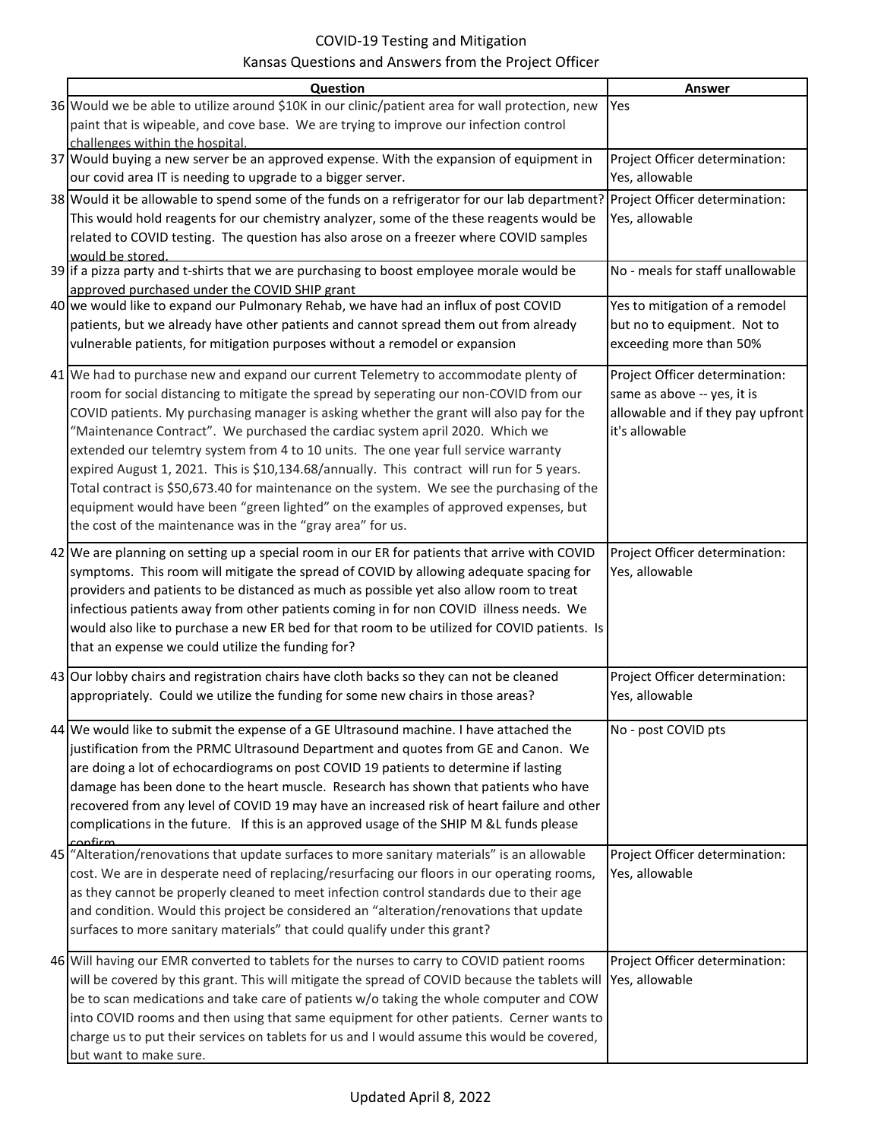| Question                                                                                                                     | Answer                            |
|------------------------------------------------------------------------------------------------------------------------------|-----------------------------------|
| 36 Would we be able to utilize around \$10K in our clinic/patient area for wall protection, new                              | Yes                               |
| paint that is wipeable, and cove base. We are trying to improve our infection control                                        |                                   |
| challenges within the hospital.                                                                                              |                                   |
| 37 Would buying a new server be an approved expense. With the expansion of equipment in                                      | Project Officer determination:    |
| our covid area IT is needing to upgrade to a bigger server.                                                                  | Yes, allowable                    |
| 38 Would it be allowable to spend some of the funds on a refrigerator for our lab department? Project Officer determination: |                                   |
| This would hold reagents for our chemistry analyzer, some of the these reagents would be                                     | Yes, allowable                    |
| related to COVID testing. The question has also arose on a freezer where COVID samples                                       |                                   |
| would be stored.<br>39 if a pizza party and t-shirts that we are purchasing to boost employee morale would be                | No - meals for staff unallowable  |
| approved purchased under the COVID SHIP grant                                                                                |                                   |
| 40 we would like to expand our Pulmonary Rehab, we have had an influx of post COVID                                          | Yes to mitigation of a remodel    |
| patients, but we already have other patients and cannot spread them out from already                                         | but no to equipment. Not to       |
| vulnerable patients, for mitigation purposes without a remodel or expansion                                                  | exceeding more than 50%           |
|                                                                                                                              |                                   |
| 41 We had to purchase new and expand our current Telemetry to accommodate plenty of                                          | Project Officer determination:    |
| room for social distancing to mitigate the spread by seperating our non-COVID from our                                       | same as above -- yes, it is       |
| COVID patients. My purchasing manager is asking whether the grant will also pay for the                                      | allowable and if they pay upfront |
| "Maintenance Contract". We purchased the cardiac system april 2020. Which we                                                 | it's allowable                    |
| extended our telemtry system from 4 to 10 units. The one year full service warranty                                          |                                   |
| expired August 1, 2021. This is \$10,134.68/annually. This contract will run for 5 years.                                    |                                   |
| Total contract is \$50,673.40 for maintenance on the system. We see the purchasing of the                                    |                                   |
| equipment would have been "green lighted" on the examples of approved expenses, but                                          |                                   |
| the cost of the maintenance was in the "gray area" for us.                                                                   |                                   |
| 42 We are planning on setting up a special room in our ER for patients that arrive with COVID                                | Project Officer determination:    |
| symptoms. This room will mitigate the spread of COVID by allowing adequate spacing for                                       | Yes, allowable                    |
| providers and patients to be distanced as much as possible yet also allow room to treat                                      |                                   |
| infectious patients away from other patients coming in for non COVID illness needs. We                                       |                                   |
| would also like to purchase a new ER bed for that room to be utilized for COVID patients. Is                                 |                                   |
| that an expense we could utilize the funding for?                                                                            |                                   |
| 43 Our lobby chairs and registration chairs have cloth backs so they can not be cleaned                                      | Project Officer determination:    |
| appropriately. Could we utilize the funding for some new chairs in those areas?                                              | Yes, allowable                    |
|                                                                                                                              |                                   |
| 44 We would like to submit the expense of a GE Ultrasound machine. I have attached the                                       | No - post COVID pts               |
| justification from the PRMC Ultrasound Department and quotes from GE and Canon. We                                           |                                   |
| are doing a lot of echocardiograms on post COVID 19 patients to determine if lasting                                         |                                   |
| damage has been done to the heart muscle. Research has shown that patients who have                                          |                                   |
| recovered from any level of COVID 19 may have an increased risk of heart failure and other                                   |                                   |
| complications in the future. If this is an approved usage of the SHIP M &L funds please<br>confirm                           |                                   |
| 45 "Alteration/renovations that update surfaces to more sanitary materials" is an allowable                                  | Project Officer determination:    |
| cost. We are in desperate need of replacing/resurfacing our floors in our operating rooms,                                   | Yes, allowable                    |
| as they cannot be properly cleaned to meet infection control standards due to their age                                      |                                   |
| and condition. Would this project be considered an "alteration/renovations that update                                       |                                   |
| surfaces to more sanitary materials" that could qualify under this grant?                                                    |                                   |
| 46 Will having our EMR converted to tablets for the nurses to carry to COVID patient rooms                                   | Project Officer determination:    |
| will be covered by this grant. This will mitigate the spread of COVID because the tablets will                               | Yes, allowable                    |
| be to scan medications and take care of patients w/o taking the whole computer and COW                                       |                                   |
| into COVID rooms and then using that same equipment for other patients. Cerner wants to                                      |                                   |
| charge us to put their services on tablets for us and I would assume this would be covered,                                  |                                   |
| but want to make sure.                                                                                                       |                                   |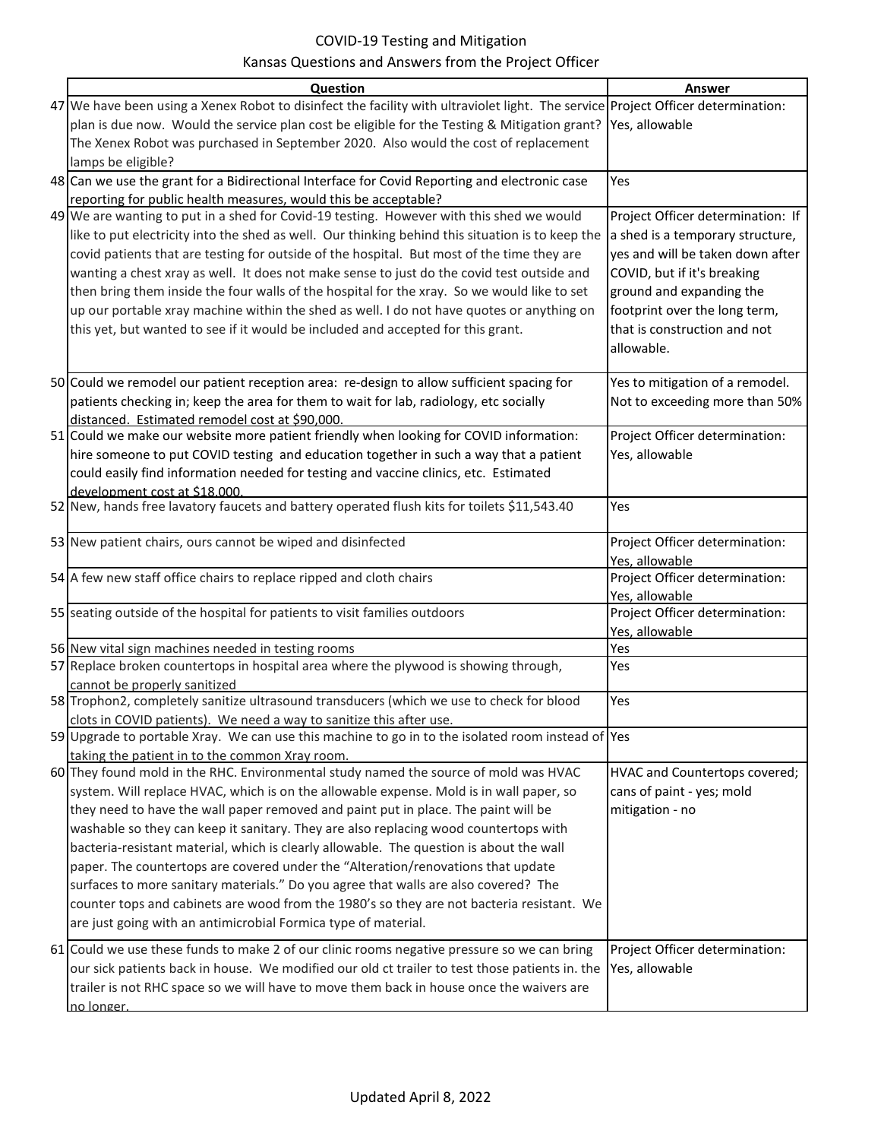| Question                                                                                                                         | Answer                                           |
|----------------------------------------------------------------------------------------------------------------------------------|--------------------------------------------------|
| 47 We have been using a Xenex Robot to disinfect the facility with ultraviolet light. The service Project Officer determination: |                                                  |
| plan is due now. Would the service plan cost be eligible for the Testing & Mitigation grant? Yes, allowable                      |                                                  |
| The Xenex Robot was purchased in September 2020. Also would the cost of replacement                                              |                                                  |
| lamps be eligible?                                                                                                               |                                                  |
| 48 Can we use the grant for a Bidirectional Interface for Covid Reporting and electronic case                                    | Yes                                              |
| reporting for public health measures, would this be acceptable?                                                                  |                                                  |
| 49 We are wanting to put in a shed for Covid-19 testing. However with this shed we would                                         | Project Officer determination: If                |
| like to put electricity into the shed as well. Our thinking behind this situation is to keep the                                 | a shed is a temporary structure,                 |
| covid patients that are testing for outside of the hospital. But most of the time they are                                       | yes and will be taken down after                 |
| wanting a chest xray as well. It does not make sense to just do the covid test outside and                                       | COVID, but if it's breaking                      |
| then bring them inside the four walls of the hospital for the xray. So we would like to set                                      | ground and expanding the                         |
| up our portable xray machine within the shed as well. I do not have quotes or anything on                                        | footprint over the long term,                    |
| this yet, but wanted to see if it would be included and accepted for this grant.                                                 | that is construction and not                     |
|                                                                                                                                  | allowable.                                       |
|                                                                                                                                  |                                                  |
| 50 Could we remodel our patient reception area: re-design to allow sufficient spacing for                                        | Yes to mitigation of a remodel.                  |
| patients checking in; keep the area for them to wait for lab, radiology, etc socially                                            | Not to exceeding more than 50%                   |
| distanced. Estimated remodel cost at \$90,000                                                                                    |                                                  |
| 51 Could we make our website more patient friendly when looking for COVID information:                                           | Project Officer determination:                   |
| hire someone to put COVID testing and education together in such a way that a patient                                            | Yes, allowable                                   |
| could easily find information needed for testing and vaccine clinics, etc. Estimated                                             |                                                  |
| development cost at \$18,000.                                                                                                    |                                                  |
| 52 New, hands free lavatory faucets and battery operated flush kits for toilets \$11,543.40                                      | Yes                                              |
|                                                                                                                                  |                                                  |
| 53 New patient chairs, ours cannot be wiped and disinfected                                                                      | Project Officer determination:                   |
| 54 A few new staff office chairs to replace ripped and cloth chairs                                                              | Yes, allowable<br>Project Officer determination: |
|                                                                                                                                  | Yes, allowable                                   |
| 55 seating outside of the hospital for patients to visit families outdoors                                                       | Project Officer determination:                   |
|                                                                                                                                  | Yes, allowable                                   |
| 56 New vital sign machines needed in testing rooms                                                                               | Yes                                              |
| 57 Replace broken countertops in hospital area where the plywood is showing through,                                             | Yes                                              |
| cannot be properly sanitized                                                                                                     |                                                  |
| 58 Trophon2, completely sanitize ultrasound transducers (which we use to check for blood                                         | Yes                                              |
| clots in COVID patients). We need a way to sanitize this after use.                                                              |                                                  |
| 59 Upgrade to portable Xray. We can use this machine to go in to the isolated room instead of Yes                                |                                                  |
| taking the patient in to the common Xray room.                                                                                   |                                                  |
| 60 They found mold in the RHC. Environmental study named the source of mold was HVAC                                             | HVAC and Countertops covered;                    |
| system. Will replace HVAC, which is on the allowable expense. Mold is in wall paper, so                                          | cans of paint - yes; mold                        |
| they need to have the wall paper removed and paint put in place. The paint will be                                               | mitigation - no                                  |
| washable so they can keep it sanitary. They are also replacing wood countertops with                                             |                                                  |
| bacteria-resistant material, which is clearly allowable. The question is about the wall                                          |                                                  |
| paper. The countertops are covered under the "Alteration/renovations that update                                                 |                                                  |
| surfaces to more sanitary materials." Do you agree that walls are also covered? The                                              |                                                  |
| counter tops and cabinets are wood from the 1980's so they are not bacteria resistant. We                                        |                                                  |
| are just going with an antimicrobial Formica type of material.                                                                   |                                                  |
| 61 Could we use these funds to make 2 of our clinic rooms negative pressure so we can bring                                      | Project Officer determination:                   |
| our sick patients back in house. We modified our old ct trailer to test those patients in. the Yes, allowable                    |                                                  |
| trailer is not RHC space so we will have to move them back in house once the waivers are                                         |                                                  |
| no longer.                                                                                                                       |                                                  |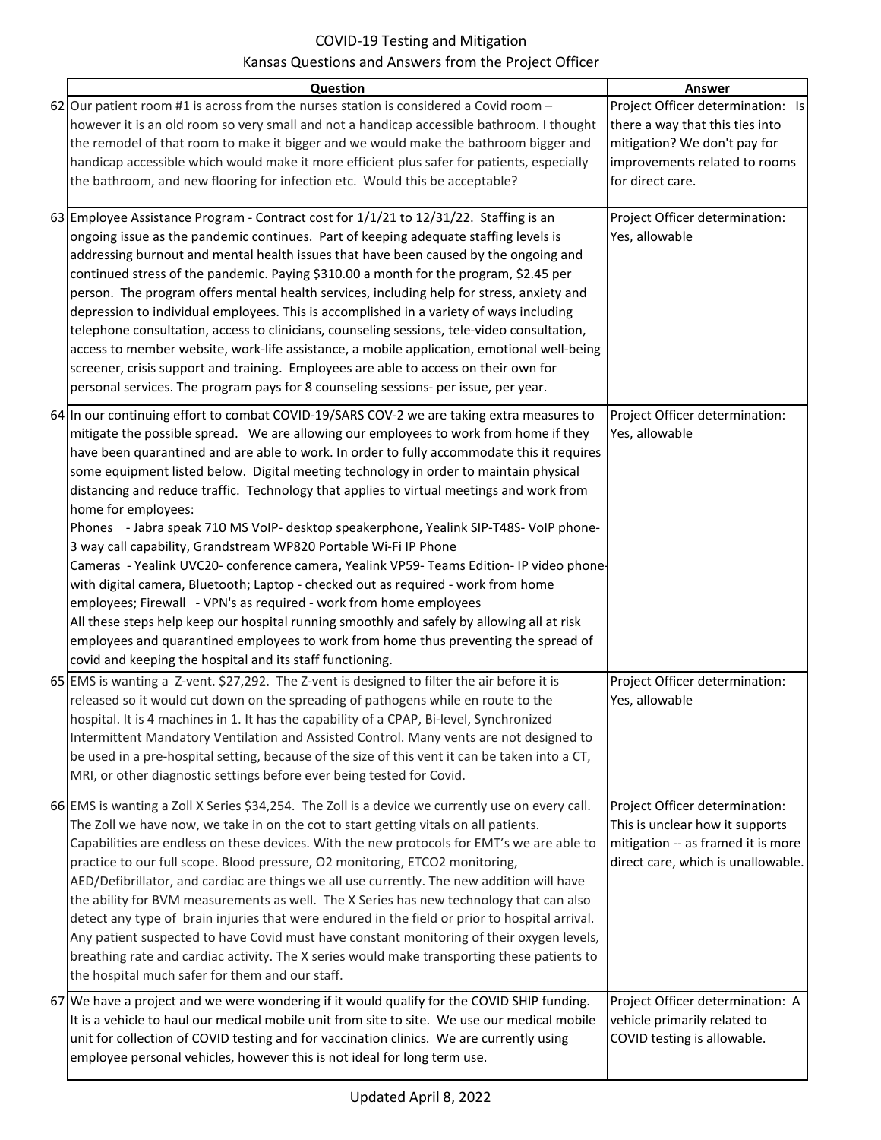| Question                                                                                                                                                                                                                                                                                                                                                                                                                                                                                                                                                                                                                                                                                                                                                                                                                                                                                                                                                                                                                                                                                                                                                           | <b>Answer</b>                                                                                                                                             |
|--------------------------------------------------------------------------------------------------------------------------------------------------------------------------------------------------------------------------------------------------------------------------------------------------------------------------------------------------------------------------------------------------------------------------------------------------------------------------------------------------------------------------------------------------------------------------------------------------------------------------------------------------------------------------------------------------------------------------------------------------------------------------------------------------------------------------------------------------------------------------------------------------------------------------------------------------------------------------------------------------------------------------------------------------------------------------------------------------------------------------------------------------------------------|-----------------------------------------------------------------------------------------------------------------------------------------------------------|
| 62 Our patient room #1 is across from the nurses station is considered a Covid room -<br>however it is an old room so very small and not a handicap accessible bathroom. I thought<br>the remodel of that room to make it bigger and we would make the bathroom bigger and<br>handicap accessible which would make it more efficient plus safer for patients, especially<br>the bathroom, and new flooring for infection etc. Would this be acceptable?                                                                                                                                                                                                                                                                                                                                                                                                                                                                                                                                                                                                                                                                                                            | Project Officer determination: Is<br>there a way that this ties into<br>mitigation? We don't pay for<br>improvements related to rooms<br>for direct care. |
| 63 Employee Assistance Program - Contract cost for 1/1/21 to 12/31/22. Staffing is an<br>ongoing issue as the pandemic continues. Part of keeping adequate staffing levels is<br>addressing burnout and mental health issues that have been caused by the ongoing and<br>continued stress of the pandemic. Paying \$310.00 a month for the program, \$2.45 per<br>person. The program offers mental health services, including help for stress, anxiety and<br>depression to individual employees. This is accomplished in a variety of ways including<br>telephone consultation, access to clinicians, counseling sessions, tele-video consultation,<br>access to member website, work-life assistance, a mobile application, emotional well-being<br>screener, crisis support and training. Employees are able to access on their own for<br>personal services. The program pays for 8 counseling sessions- per issue, per year.                                                                                                                                                                                                                                 | Project Officer determination:<br>Yes, allowable                                                                                                          |
| 64 In our continuing effort to combat COVID-19/SARS COV-2 we are taking extra measures to<br>mitigate the possible spread. We are allowing our employees to work from home if they<br>have been quarantined and are able to work. In order to fully accommodate this it requires<br>some equipment listed below. Digital meeting technology in order to maintain physical<br>distancing and reduce traffic. Technology that applies to virtual meetings and work from<br>home for employees:<br>Phones - Jabra speak 710 MS VoIP- desktop speakerphone, Yealink SIP-T48S- VoIP phone-<br>3 way call capability, Grandstream WP820 Portable Wi-Fi IP Phone<br>Cameras - Yealink UVC20- conference camera, Yealink VP59- Teams Edition- IP video phone-<br>with digital camera, Bluetooth; Laptop - checked out as required - work from home<br>employees; Firewall - VPN's as required - work from home employees<br>All these steps help keep our hospital running smoothly and safely by allowing all at risk<br>employees and quarantined employees to work from home thus preventing the spread of<br>covid and keeping the hospital and its staff functioning. | Project Officer determination:<br>Yes, allowable                                                                                                          |
| 65 EMS is wanting a Z-vent. \$27,292. The Z-vent is designed to filter the air before it is<br>released so it would cut down on the spreading of pathogens while en route to the<br>hospital. It is 4 machines in 1. It has the capability of a CPAP, Bi-level, Synchronized<br>Intermittent Mandatory Ventilation and Assisted Control. Many vents are not designed to<br>be used in a pre-hospital setting, because of the size of this vent it can be taken into a CT,<br>MRI, or other diagnostic settings before ever being tested for Covid.                                                                                                                                                                                                                                                                                                                                                                                                                                                                                                                                                                                                                 | Project Officer determination:<br>Yes, allowable                                                                                                          |
| 66 EMS is wanting a Zoll X Series \$34,254. The Zoll is a device we currently use on every call.<br>The Zoll we have now, we take in on the cot to start getting vitals on all patients.<br>Capabilities are endless on these devices. With the new protocols for EMT's we are able to<br>practice to our full scope. Blood pressure, O2 monitoring, ETCO2 monitoring,<br>AED/Defibrillator, and cardiac are things we all use currently. The new addition will have<br>the ability for BVM measurements as well. The X Series has new technology that can also<br>detect any type of brain injuries that were endured in the field or prior to hospital arrival.<br>Any patient suspected to have Covid must have constant monitoring of their oxygen levels,<br>breathing rate and cardiac activity. The X series would make transporting these patients to<br>the hospital much safer for them and our staff.                                                                                                                                                                                                                                                   | Project Officer determination:<br>This is unclear how it supports<br>mitigation -- as framed it is more<br>direct care, which is unallowable.             |
| 67 We have a project and we were wondering if it would qualify for the COVID SHIP funding.<br>It is a vehicle to haul our medical mobile unit from site to site. We use our medical mobile<br>unit for collection of COVID testing and for vaccination clinics. We are currently using<br>employee personal vehicles, however this is not ideal for long term use.                                                                                                                                                                                                                                                                                                                                                                                                                                                                                                                                                                                                                                                                                                                                                                                                 | Project Officer determination: A<br>vehicle primarily related to<br>COVID testing is allowable.                                                           |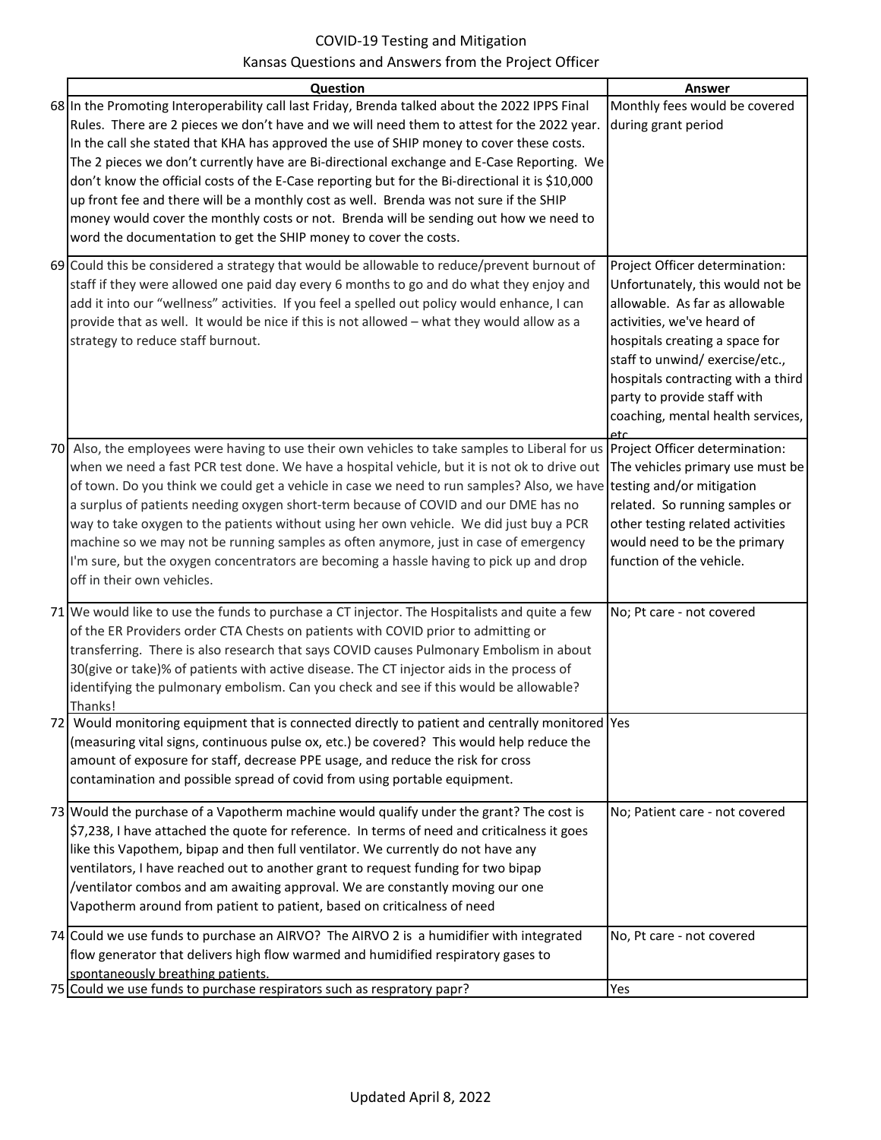| Question                                                                                                                                                                                                                                                                                                                                                                                                                                                                                                                                                                                                                                                                                                                                                 | <b>Answer</b>                                                                                                                                                                                                                                                                                                            |
|----------------------------------------------------------------------------------------------------------------------------------------------------------------------------------------------------------------------------------------------------------------------------------------------------------------------------------------------------------------------------------------------------------------------------------------------------------------------------------------------------------------------------------------------------------------------------------------------------------------------------------------------------------------------------------------------------------------------------------------------------------|--------------------------------------------------------------------------------------------------------------------------------------------------------------------------------------------------------------------------------------------------------------------------------------------------------------------------|
| 68 In the Promoting Interoperability call last Friday, Brenda talked about the 2022 IPPS Final<br>Rules. There are 2 pieces we don't have and we will need them to attest for the 2022 year.                                                                                                                                                                                                                                                                                                                                                                                                                                                                                                                                                             | Monthly fees would be covered<br>during grant period                                                                                                                                                                                                                                                                     |
| In the call she stated that KHA has approved the use of SHIP money to cover these costs.<br>The 2 pieces we don't currently have are Bi-directional exchange and E-Case Reporting. We<br>don't know the official costs of the E-Case reporting but for the Bi-directional it is \$10,000<br>up front fee and there will be a monthly cost as well. Brenda was not sure if the SHIP<br>money would cover the monthly costs or not. Brenda will be sending out how we need to<br>word the documentation to get the SHIP money to cover the costs.                                                                                                                                                                                                          |                                                                                                                                                                                                                                                                                                                          |
| 69 Could this be considered a strategy that would be allowable to reduce/prevent burnout of<br>staff if they were allowed one paid day every 6 months to go and do what they enjoy and<br>add it into our "wellness" activities. If you feel a spelled out policy would enhance, I can<br>provide that as well. It would be nice if this is not allowed - what they would allow as a<br>strategy to reduce staff burnout.                                                                                                                                                                                                                                                                                                                                | Project Officer determination:<br>Unfortunately, this would not be<br>allowable. As far as allowable<br>activities, we've heard of<br>hospitals creating a space for<br>staff to unwind/ exercise/etc.,<br>hospitals contracting with a third<br>party to provide staff with<br>coaching, mental health services,<br>etc |
| 70 Also, the employees were having to use their own vehicles to take samples to Liberal for us Project Officer determination:<br>when we need a fast PCR test done. We have a hospital vehicle, but it is not ok to drive out<br>of town. Do you think we could get a vehicle in case we need to run samples? Also, we have testing and/or mitigation<br>a surplus of patients needing oxygen short-term because of COVID and our DME has no<br>way to take oxygen to the patients without using her own vehicle. We did just buy a PCR<br>machine so we may not be running samples as often anymore, just in case of emergency<br>I'm sure, but the oxygen concentrators are becoming a hassle having to pick up and drop<br>off in their own vehicles. | The vehicles primary use must be<br>related. So running samples or<br>other testing related activities<br>would need to be the primary<br>function of the vehicle.                                                                                                                                                       |
| 71 We would like to use the funds to purchase a CT injector. The Hospitalists and quite a few<br>of the ER Providers order CTA Chests on patients with COVID prior to admitting or<br>transferring. There is also research that says COVID causes Pulmonary Embolism in about<br>30(give or take)% of patients with active disease. The CT injector aids in the process of<br>identifying the pulmonary embolism. Can you check and see if this would be allowable?<br>Thanks!                                                                                                                                                                                                                                                                           | No; Pt care - not covered                                                                                                                                                                                                                                                                                                |
| 72 Would monitoring equipment that is connected directly to patient and centrally monitored  Yes<br>(measuring vital signs, continuous pulse ox, etc.) be covered? This would help reduce the<br>amount of exposure for staff, decrease PPE usage, and reduce the risk for cross<br>contamination and possible spread of covid from using portable equipment.                                                                                                                                                                                                                                                                                                                                                                                            |                                                                                                                                                                                                                                                                                                                          |
| 73 Would the purchase of a Vapotherm machine would qualify under the grant? The cost is<br>\$7,238, I have attached the quote for reference. In terms of need and criticalness it goes<br>like this Vapothem, bipap and then full ventilator. We currently do not have any<br>ventilators, I have reached out to another grant to request funding for two bipap<br>/ventilator combos and am awaiting approval. We are constantly moving our one<br>Vapotherm around from patient to patient, based on criticalness of need                                                                                                                                                                                                                              | No; Patient care - not covered                                                                                                                                                                                                                                                                                           |
| 74 Could we use funds to purchase an AIRVO? The AIRVO 2 is a humidifier with integrated<br>flow generator that delivers high flow warmed and humidified respiratory gases to<br>spontaneously breathing patients.                                                                                                                                                                                                                                                                                                                                                                                                                                                                                                                                        | No, Pt care - not covered                                                                                                                                                                                                                                                                                                |
| 75 Could we use funds to purchase respirators such as respratory papr?                                                                                                                                                                                                                                                                                                                                                                                                                                                                                                                                                                                                                                                                                   | Yes                                                                                                                                                                                                                                                                                                                      |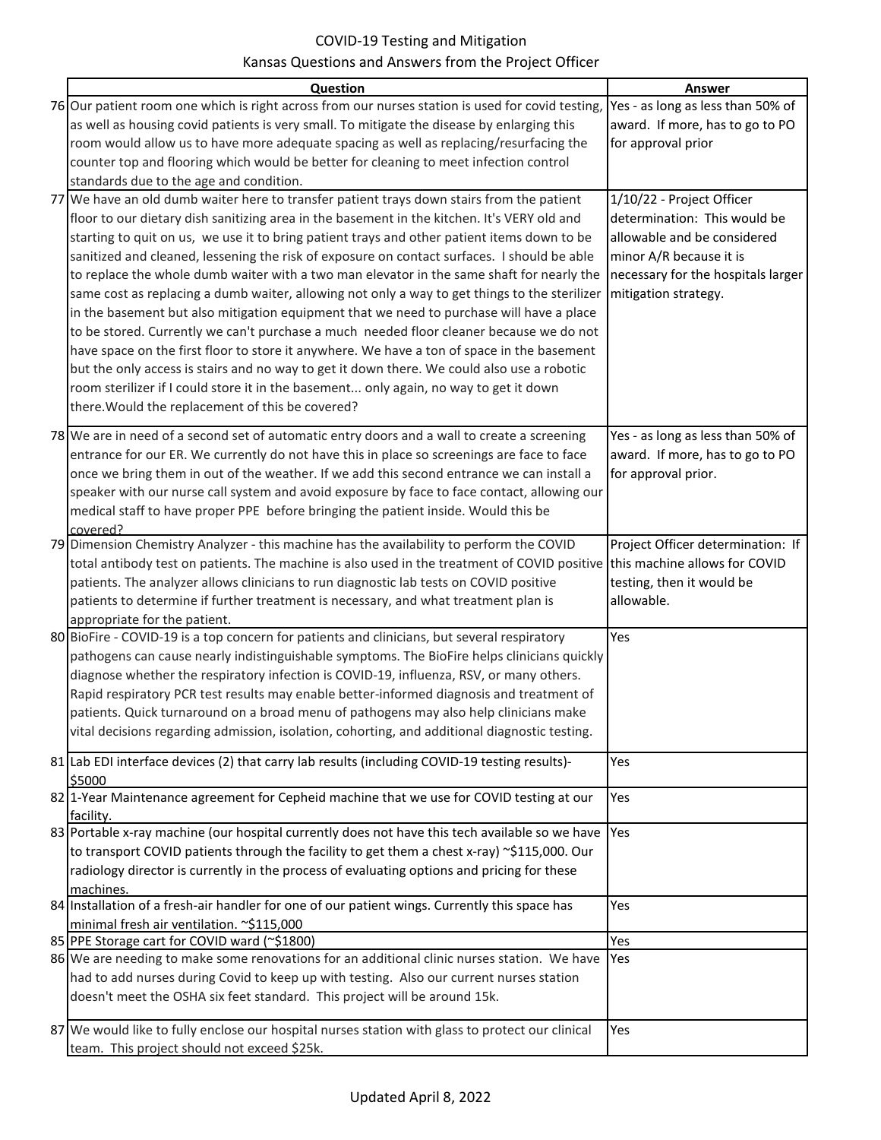|                                                                                                                                                | Answer                             |
|------------------------------------------------------------------------------------------------------------------------------------------------|------------------------------------|
| Question<br>76 Our patient room one which is right across from our nurses station is used for covid testing, Yes - as long as less than 50% of |                                    |
|                                                                                                                                                |                                    |
| as well as housing covid patients is very small. To mitigate the disease by enlarging this                                                     | award. If more, has to go to PO    |
| room would allow us to have more adequate spacing as well as replacing/resurfacing the                                                         | for approval prior                 |
| counter top and flooring which would be better for cleaning to meet infection control                                                          |                                    |
| standards due to the age and condition.                                                                                                        |                                    |
| 77 We have an old dumb waiter here to transfer patient trays down stairs from the patient                                                      | 1/10/22 - Project Officer          |
| floor to our dietary dish sanitizing area in the basement in the kitchen. It's VERY old and                                                    | determination: This would be       |
| starting to quit on us, we use it to bring patient trays and other patient items down to be                                                    | allowable and be considered        |
| sanitized and cleaned, lessening the risk of exposure on contact surfaces. I should be able                                                    | minor A/R because it is            |
| to replace the whole dumb waiter with a two man elevator in the same shaft for nearly the                                                      | necessary for the hospitals larger |
| same cost as replacing a dumb waiter, allowing not only a way to get things to the sterilizer                                                  | mitigation strategy.               |
| in the basement but also mitigation equipment that we need to purchase will have a place                                                       |                                    |
| to be stored. Currently we can't purchase a much needed floor cleaner because we do not                                                        |                                    |
| have space on the first floor to store it anywhere. We have a ton of space in the basement                                                     |                                    |
| but the only access is stairs and no way to get it down there. We could also use a robotic                                                     |                                    |
| room sterilizer if I could store it in the basement only again, no way to get it down                                                          |                                    |
| there. Would the replacement of this be covered?                                                                                               |                                    |
|                                                                                                                                                |                                    |
| 78 We are in need of a second set of automatic entry doors and a wall to create a screening                                                    | Yes - as long as less than 50% of  |
| entrance for our ER. We currently do not have this in place so screenings are face to face                                                     | award. If more, has to go to PO    |
| once we bring them in out of the weather. If we add this second entrance we can install a                                                      | for approval prior.                |
| speaker with our nurse call system and avoid exposure by face to face contact, allowing our                                                    |                                    |
| medical staff to have proper PPE before bringing the patient inside. Would this be                                                             |                                    |
| covered?                                                                                                                                       |                                    |
| 79 Dimension Chemistry Analyzer - this machine has the availability to perform the COVID                                                       | Project Officer determination: If  |
| total antibody test on patients. The machine is also used in the treatment of COVID positive this machine allows for COVID                     |                                    |
| patients. The analyzer allows clinicians to run diagnostic lab tests on COVID positive                                                         | testing, then it would be          |
| patients to determine if further treatment is necessary, and what treatment plan is                                                            | allowable.                         |
| appropriate for the patient.                                                                                                                   |                                    |
| 80 BioFire - COVID-19 is a top concern for patients and clinicians, but several respiratory                                                    | Yes                                |
| pathogens can cause nearly indistinguishable symptoms. The BioFire helps clinicians quickly                                                    |                                    |
| diagnose whether the respiratory infection is COVID-19, influenza, RSV, or many others.                                                        |                                    |
| Rapid respiratory PCR test results may enable better-informed diagnosis and treatment of                                                       |                                    |
| patients. Quick turnaround on a broad menu of pathogens may also help clinicians make                                                          |                                    |
| vital decisions regarding admission, isolation, cohorting, and additional diagnostic testing.                                                  |                                    |
| 81 Lab EDI interface devices (2) that carry lab results (including COVID-19 testing results)-                                                  | Yes                                |
| \$5000                                                                                                                                         |                                    |
| 82 1-Year Maintenance agreement for Cepheid machine that we use for COVID testing at our                                                       | Yes                                |
| facility.                                                                                                                                      |                                    |
| 83 Portable x-ray machine (our hospital currently does not have this tech available so we have                                                 | Yes                                |
| to transport COVID patients through the facility to get them a chest x-ray) ~\$115,000. Our                                                    |                                    |
| radiology director is currently in the process of evaluating options and pricing for these                                                     |                                    |
| machines.                                                                                                                                      |                                    |
| 84 Installation of a fresh-air handler for one of our patient wings. Currently this space has                                                  | Yes                                |
| minimal fresh air ventilation. ~\$115,000                                                                                                      |                                    |
| 85 PPE Storage cart for COVID ward (~\$1800)                                                                                                   | Yes                                |
| 86 We are needing to make some renovations for an additional clinic nurses station. We have                                                    | <b>Yes</b>                         |
| had to add nurses during Covid to keep up with testing. Also our current nurses station                                                        |                                    |
| doesn't meet the OSHA six feet standard. This project will be around 15k.                                                                      |                                    |
|                                                                                                                                                |                                    |
| 87 We would like to fully enclose our hospital nurses station with glass to protect our clinical                                               | Yes                                |
| team. This project should not exceed \$25k.                                                                                                    |                                    |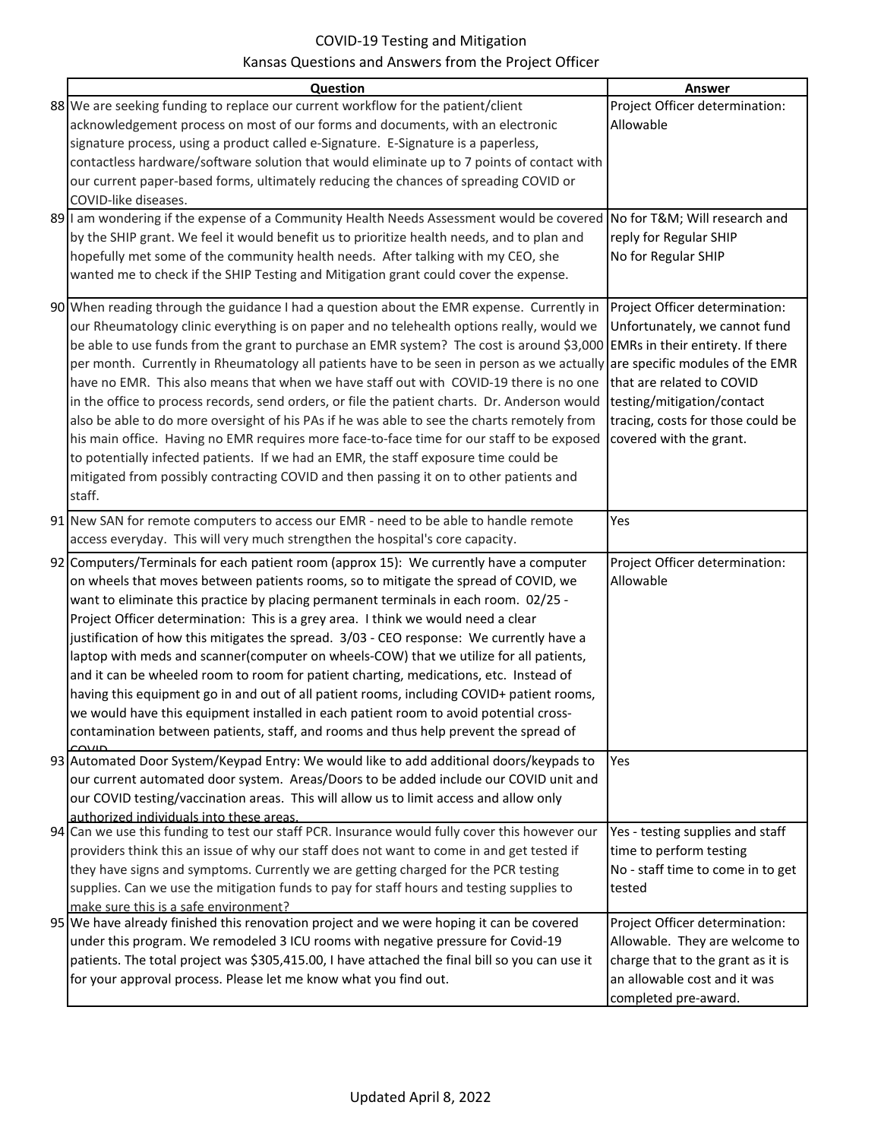| Question                                                                                                                   | Answer                            |
|----------------------------------------------------------------------------------------------------------------------------|-----------------------------------|
| 88 We are seeking funding to replace our current workflow for the patient/client                                           | Project Officer determination:    |
| acknowledgement process on most of our forms and documents, with an electronic                                             | Allowable                         |
| signature process, using a product called e-Signature. E-Signature is a paperless,                                         |                                   |
| contactless hardware/software solution that would eliminate up to 7 points of contact with                                 |                                   |
| our current paper-based forms, ultimately reducing the chances of spreading COVID or                                       |                                   |
| COVID-like diseases.                                                                                                       |                                   |
| 89 I am wondering if the expense of a Community Health Needs Assessment would be covered No for T&M Will research and      |                                   |
| by the SHIP grant. We feel it would benefit us to prioritize health needs, and to plan and                                 | reply for Regular SHIP            |
| hopefully met some of the community health needs. After talking with my CEO, she                                           | No for Regular SHIP               |
| wanted me to check if the SHIP Testing and Mitigation grant could cover the expense.                                       |                                   |
|                                                                                                                            |                                   |
| 90 When reading through the guidance I had a question about the EMR expense. Currently in                                  | Project Officer determination:    |
| our Rheumatology clinic everything is on paper and no telehealth options really, would we                                  | Unfortunately, we cannot fund     |
| be able to use funds from the grant to purchase an EMR system? The cost is around \$3,000 EMRs in their entirety. If there |                                   |
| per month. Currently in Rheumatology all patients have to be seen in person as we actually are specific modules of the EMR |                                   |
| have no EMR. This also means that when we have staff out with COVID-19 there is no one                                     | that are related to COVID         |
| in the office to process records, send orders, or file the patient charts. Dr. Anderson would                              | testing/mitigation/contact        |
| also be able to do more oversight of his PAs if he was able to see the charts remotely from                                | tracing, costs for those could be |
| his main office. Having no EMR requires more face-to-face time for our staff to be exposed                                 | covered with the grant.           |
| to potentially infected patients. If we had an EMR, the staff exposure time could be                                       |                                   |
| mitigated from possibly contracting COVID and then passing it on to other patients and                                     |                                   |
| staff.                                                                                                                     |                                   |
| 91 New SAN for remote computers to access our EMR - need to be able to handle remote                                       | Yes                               |
| access everyday. This will very much strengthen the hospital's core capacity.                                              |                                   |
| 92 Computers/Terminals for each patient room (approx 15): We currently have a computer                                     | Project Officer determination:    |
| on wheels that moves between patients rooms, so to mitigate the spread of COVID, we                                        | Allowable                         |
| want to eliminate this practice by placing permanent terminals in each room. 02/25 -                                       |                                   |
| Project Officer determination: This is a grey area. I think we would need a clear                                          |                                   |
| justification of how this mitigates the spread. 3/03 - CEO response: We currently have a                                   |                                   |
| laptop with meds and scanner (computer on wheels-COW) that we utilize for all patients,                                    |                                   |
| and it can be wheeled room to room for patient charting, medications, etc. Instead of                                      |                                   |
| having this equipment go in and out of all patient rooms, including COVID+ patient rooms,                                  |                                   |
| we would have this equipment installed in each patient room to avoid potential cross-                                      |                                   |
| contamination between patients, staff, and rooms and thus help prevent the spread of                                       |                                   |
| 93 Automated Door System/Keypad Entry: We would like to add additional doors/keypads to                                    | Yes                               |
| our current automated door system. Areas/Doors to be added include our COVID unit and                                      |                                   |
| our COVID testing/vaccination areas. This will allow us to limit access and allow only                                     |                                   |
| authorized individuals into these areas.                                                                                   |                                   |
| 94 Can we use this funding to test our staff PCR. Insurance would fully cover this however our                             | Yes - testing supplies and staff  |
| providers think this an issue of why our staff does not want to come in and get tested if                                  | time to perform testing           |
| they have signs and symptoms. Currently we are getting charged for the PCR testing                                         | No - staff time to come in to get |
| supplies. Can we use the mitigation funds to pay for staff hours and testing supplies to                                   | tested                            |
| make sure this is a safe environment?                                                                                      |                                   |
| 95 We have already finished this renovation project and we were hoping it can be covered                                   | Project Officer determination:    |
| under this program. We remodeled 3 ICU rooms with negative pressure for Covid-19                                           | Allowable. They are welcome to    |
| patients. The total project was \$305,415.00, I have attached the final bill so you can use it                             | charge that to the grant as it is |
| for your approval process. Please let me know what you find out.                                                           | an allowable cost and it was      |
|                                                                                                                            | completed pre-award.              |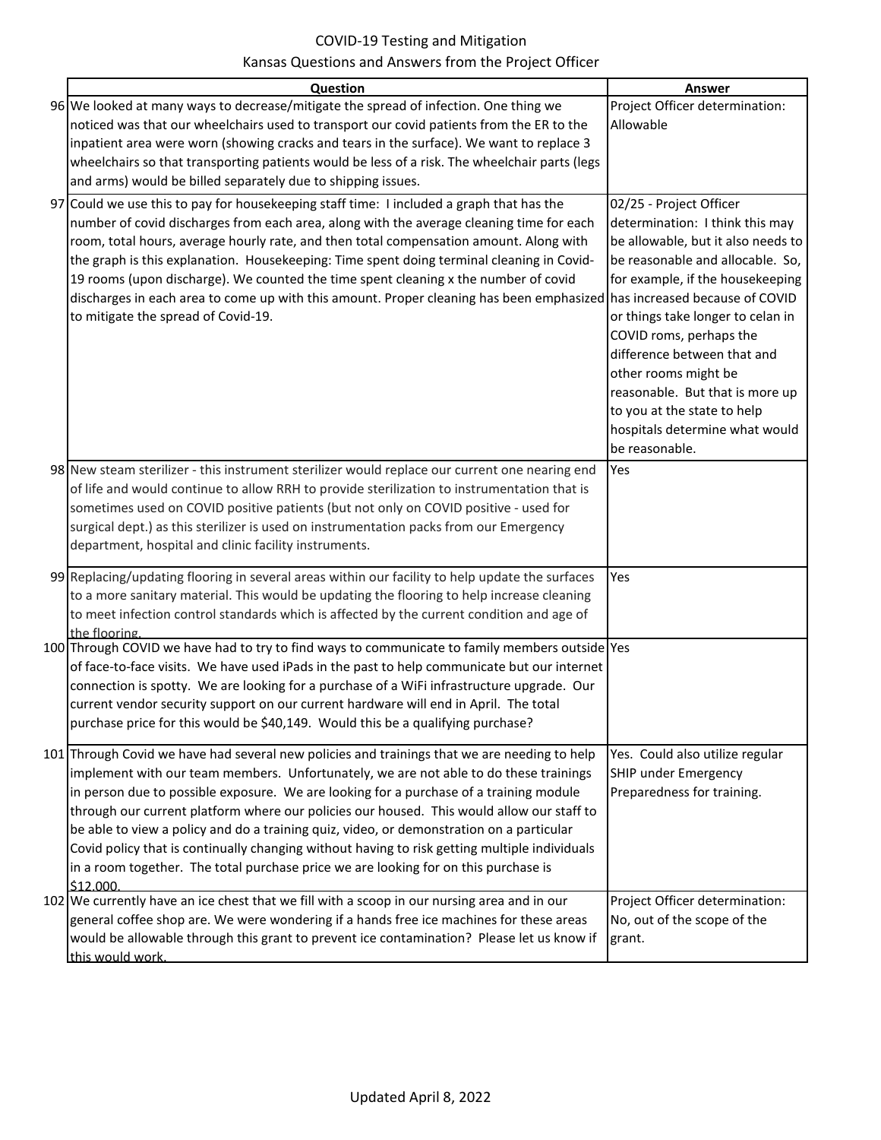| Question                                                                                                                                                                                                                                                                                                                                                                                                                                                                                                                                                                                                                                                                     | <b>Answer</b>                                                                                                                                                                                                                                                        |
|------------------------------------------------------------------------------------------------------------------------------------------------------------------------------------------------------------------------------------------------------------------------------------------------------------------------------------------------------------------------------------------------------------------------------------------------------------------------------------------------------------------------------------------------------------------------------------------------------------------------------------------------------------------------------|----------------------------------------------------------------------------------------------------------------------------------------------------------------------------------------------------------------------------------------------------------------------|
| 96 We looked at many ways to decrease/mitigate the spread of infection. One thing we                                                                                                                                                                                                                                                                                                                                                                                                                                                                                                                                                                                         | Project Officer determination:                                                                                                                                                                                                                                       |
| noticed was that our wheelchairs used to transport our covid patients from the ER to the                                                                                                                                                                                                                                                                                                                                                                                                                                                                                                                                                                                     | Allowable                                                                                                                                                                                                                                                            |
| inpatient area were worn (showing cracks and tears in the surface). We want to replace 3                                                                                                                                                                                                                                                                                                                                                                                                                                                                                                                                                                                     |                                                                                                                                                                                                                                                                      |
| wheelchairs so that transporting patients would be less of a risk. The wheelchair parts (legs                                                                                                                                                                                                                                                                                                                                                                                                                                                                                                                                                                                |                                                                                                                                                                                                                                                                      |
| and arms) would be billed separately due to shipping issues.                                                                                                                                                                                                                                                                                                                                                                                                                                                                                                                                                                                                                 |                                                                                                                                                                                                                                                                      |
| 97 Could we use this to pay for housekeeping staff time: I included a graph that has the                                                                                                                                                                                                                                                                                                                                                                                                                                                                                                                                                                                     | 02/25 - Project Officer                                                                                                                                                                                                                                              |
| number of covid discharges from each area, along with the average cleaning time for each<br>room, total hours, average hourly rate, and then total compensation amount. Along with<br>the graph is this explanation. Housekeeping: Time spent doing terminal cleaning in Covid-<br>19 rooms (upon discharge). We counted the time spent cleaning x the number of covid<br>discharges in each area to come up with this amount. Proper cleaning has been emphasized has increased because of COVID<br>to mitigate the spread of Covid-19.                                                                                                                                     | determination: I think this may<br>be allowable, but it also needs to<br>be reasonable and allocable. So,<br>for example, if the housekeeping<br>or things take longer to celan in<br>COVID roms, perhaps the<br>difference between that and<br>other rooms might be |
|                                                                                                                                                                                                                                                                                                                                                                                                                                                                                                                                                                                                                                                                              | reasonable. But that is more up<br>to you at the state to help<br>hospitals determine what would<br>be reasonable.                                                                                                                                                   |
| 98 New steam sterilizer - this instrument sterilizer would replace our current one nearing end<br>of life and would continue to allow RRH to provide sterilization to instrumentation that is<br>sometimes used on COVID positive patients (but not only on COVID positive - used for<br>surgical dept.) as this sterilizer is used on instrumentation packs from our Emergency<br>department, hospital and clinic facility instruments.                                                                                                                                                                                                                                     | Yes                                                                                                                                                                                                                                                                  |
|                                                                                                                                                                                                                                                                                                                                                                                                                                                                                                                                                                                                                                                                              |                                                                                                                                                                                                                                                                      |
| 99 Replacing/updating flooring in several areas within our facility to help update the surfaces<br>to a more sanitary material. This would be updating the flooring to help increase cleaning<br>to meet infection control standards which is affected by the current condition and age of<br>the flooring                                                                                                                                                                                                                                                                                                                                                                   | Yes                                                                                                                                                                                                                                                                  |
| 100 Through COVID we have had to try to find ways to communicate to family members outside Yes                                                                                                                                                                                                                                                                                                                                                                                                                                                                                                                                                                               |                                                                                                                                                                                                                                                                      |
| of face-to-face visits. We have used iPads in the past to help communicate but our internet<br>connection is spotty. We are looking for a purchase of a WiFi infrastructure upgrade. Our<br>current vendor security support on our current hardware will end in April. The total<br>purchase price for this would be \$40,149. Would this be a qualifying purchase?                                                                                                                                                                                                                                                                                                          |                                                                                                                                                                                                                                                                      |
| 101 Through Covid we have had several new policies and trainings that we are needing to help<br>implement with our team members. Unfortunately, we are not able to do these trainings<br>in person due to possible exposure. We are looking for a purchase of a training module<br>through our current platform where our policies our housed. This would allow our staff to<br>be able to view a policy and do a training quiz, video, or demonstration on a particular<br>Covid policy that is continually changing without having to risk getting multiple individuals<br>in a room together. The total purchase price we are looking for on this purchase is<br>\$12,000 | Yes. Could also utilize regular<br>SHIP under Emergency<br>Preparedness for training.                                                                                                                                                                                |
| 102 We currently have an ice chest that we fill with a scoop in our nursing area and in our<br>general coffee shop are. We were wondering if a hands free ice machines for these areas<br>would be allowable through this grant to prevent ice contamination? Please let us know if<br>this would work.                                                                                                                                                                                                                                                                                                                                                                      | Project Officer determination:<br>No, out of the scope of the<br>grant.                                                                                                                                                                                              |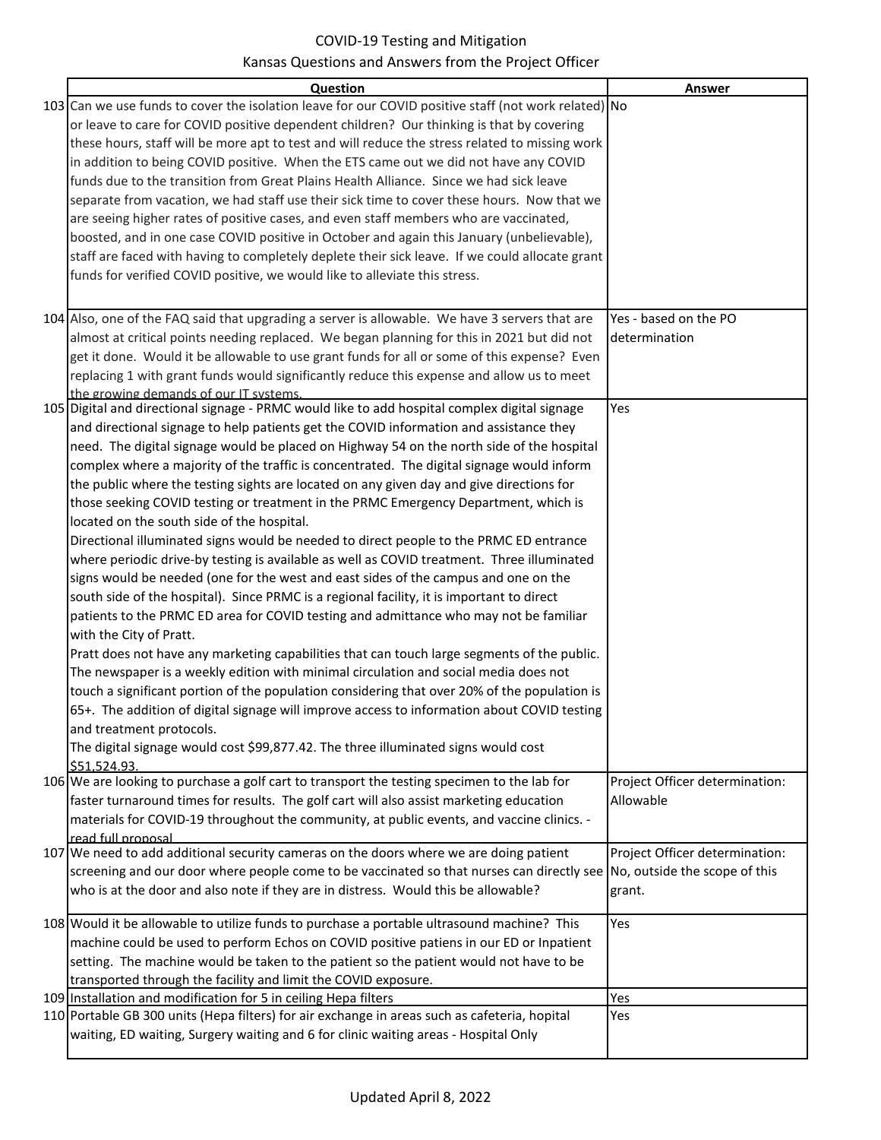| Question                                                                                                                                | Answer                         |
|-----------------------------------------------------------------------------------------------------------------------------------------|--------------------------------|
| 103 Can we use funds to cover the isolation leave for our COVID positive staff (not work related) No                                    |                                |
| or leave to care for COVID positive dependent children? Our thinking is that by covering                                                |                                |
| these hours, staff will be more apt to test and will reduce the stress related to missing work                                          |                                |
| in addition to being COVID positive. When the ETS came out we did not have any COVID                                                    |                                |
| funds due to the transition from Great Plains Health Alliance. Since we had sick leave                                                  |                                |
| separate from vacation, we had staff use their sick time to cover these hours. Now that we                                              |                                |
| are seeing higher rates of positive cases, and even staff members who are vaccinated,                                                   |                                |
| boosted, and in one case COVID positive in October and again this January (unbelievable),                                               |                                |
| staff are faced with having to completely deplete their sick leave. If we could allocate grant                                          |                                |
| funds for verified COVID positive, we would like to alleviate this stress.                                                              |                                |
|                                                                                                                                         |                                |
|                                                                                                                                         |                                |
| 104 Also, one of the FAQ said that upgrading a server is allowable. We have 3 servers that are                                          | Yes - based on the PO          |
| almost at critical points needing replaced. We began planning for this in 2021 but did not                                              | determination                  |
| get it done. Would it be allowable to use grant funds for all or some of this expense? Even                                             |                                |
| replacing 1 with grant funds would significantly reduce this expense and allow us to meet                                               |                                |
| the growing demands of our IT systems.<br>105 Digital and directional signage - PRMC would like to add hospital complex digital signage | Yes                            |
| and directional signage to help patients get the COVID information and assistance they                                                  |                                |
| need. The digital signage would be placed on Highway 54 on the north side of the hospital                                               |                                |
| complex where a majority of the traffic is concentrated. The digital signage would inform                                               |                                |
| the public where the testing sights are located on any given day and give directions for                                                |                                |
| those seeking COVID testing or treatment in the PRMC Emergency Department, which is                                                     |                                |
| located on the south side of the hospital.                                                                                              |                                |
| Directional illuminated signs would be needed to direct people to the PRMC ED entrance                                                  |                                |
| where periodic drive-by testing is available as well as COVID treatment. Three illuminated                                              |                                |
| signs would be needed (one for the west and east sides of the campus and one on the                                                     |                                |
| south side of the hospital). Since PRMC is a regional facility, it is important to direct                                               |                                |
| patients to the PRMC ED area for COVID testing and admittance who may not be familiar                                                   |                                |
| with the City of Pratt.                                                                                                                 |                                |
| Pratt does not have any marketing capabilities that can touch large segments of the public.                                             |                                |
| The newspaper is a weekly edition with minimal circulation and social media does not                                                    |                                |
| touch a significant portion of the population considering that over 20% of the population is                                            |                                |
| 65+. The addition of digital signage will improve access to information about COVID testing                                             |                                |
| and treatment protocols.                                                                                                                |                                |
| The digital signage would cost \$99,877.42. The three illuminated signs would cost                                                      |                                |
| \$51.524.93.                                                                                                                            |                                |
| 106 We are looking to purchase a golf cart to transport the testing specimen to the lab for                                             | Project Officer determination: |
| faster turnaround times for results. The golf cart will also assist marketing education                                                 | Allowable                      |
| materials for COVID-19 throughout the community, at public events, and vaccine clinics. -                                               |                                |
| read full proposal                                                                                                                      |                                |
| 107 We need to add additional security cameras on the doors where we are doing patient                                                  | Project Officer determination: |
| screening and our door where people come to be vaccinated so that nurses can directly see No, outside the scope of this                 |                                |
| who is at the door and also note if they are in distress. Would this be allowable?                                                      | grant.                         |
| 108 Would it be allowable to utilize funds to purchase a portable ultrasound machine? This                                              | Yes                            |
| machine could be used to perform Echos on COVID positive patiens in our ED or Inpatient                                                 |                                |
| setting. The machine would be taken to the patient so the patient would not have to be                                                  |                                |
| transported through the facility and limit the COVID exposure.                                                                          |                                |
| 109 Installation and modification for 5 in ceiling Hepa filters                                                                         | Yes                            |
| 110 Portable GB 300 units (Hepa filters) for air exchange in areas such as cafeteria, hopital                                           | Yes                            |
| waiting, ED waiting, Surgery waiting and 6 for clinic waiting areas - Hospital Only                                                     |                                |
|                                                                                                                                         |                                |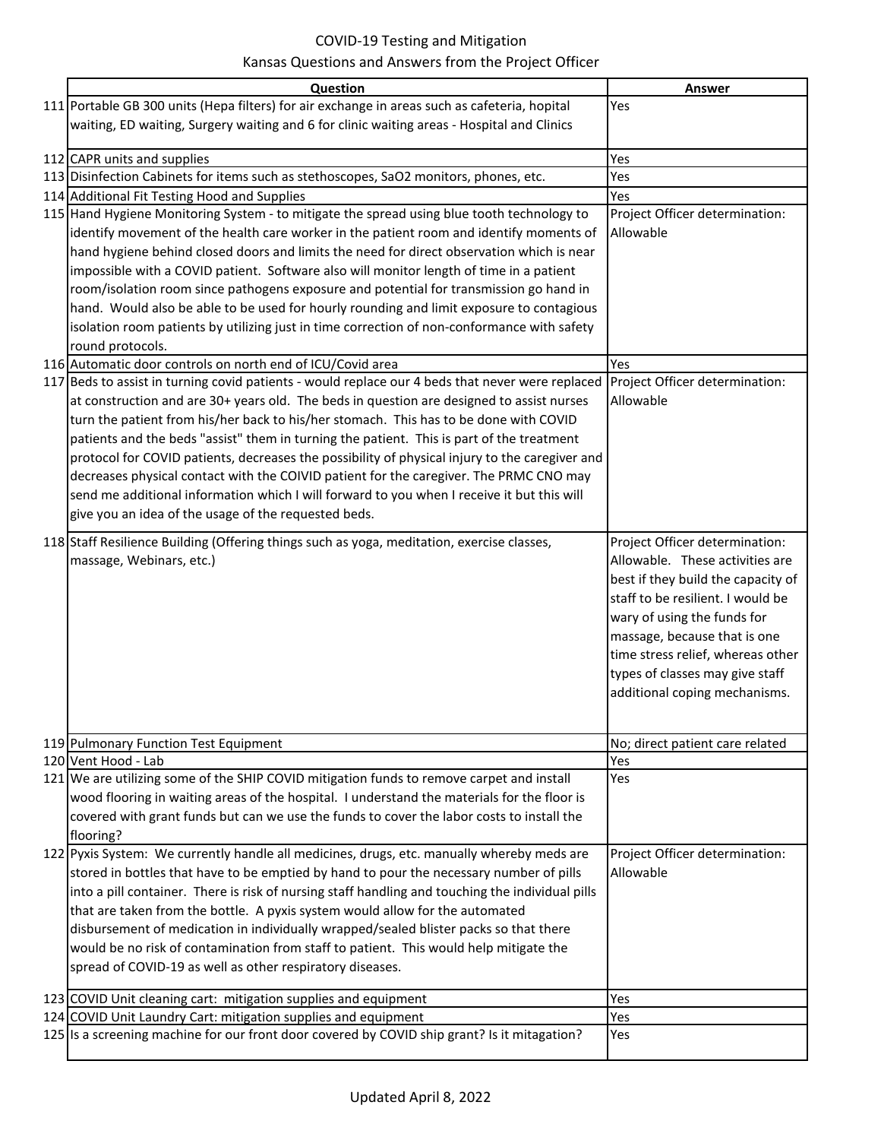| Question                                                                                                                        | Answer                                                                                                                                                                                                                                                                                                               |
|---------------------------------------------------------------------------------------------------------------------------------|----------------------------------------------------------------------------------------------------------------------------------------------------------------------------------------------------------------------------------------------------------------------------------------------------------------------|
| 111 Portable GB 300 units (Hepa filters) for air exchange in areas such as cafeteria, hopital                                   | Yes                                                                                                                                                                                                                                                                                                                  |
| waiting, ED waiting, Surgery waiting and 6 for clinic waiting areas - Hospital and Clinics                                      |                                                                                                                                                                                                                                                                                                                      |
|                                                                                                                                 |                                                                                                                                                                                                                                                                                                                      |
| 112 CAPR units and supplies                                                                                                     | Yes                                                                                                                                                                                                                                                                                                                  |
| 113 Disinfection Cabinets for items such as stethoscopes, SaO2 monitors, phones, etc.                                           | Yes                                                                                                                                                                                                                                                                                                                  |
| 114 Additional Fit Testing Hood and Supplies                                                                                    | Yes                                                                                                                                                                                                                                                                                                                  |
| 115 Hand Hygiene Monitoring System - to mitigate the spread using blue tooth technology to                                      | Project Officer determination:                                                                                                                                                                                                                                                                                       |
| identify movement of the health care worker in the patient room and identify moments of                                         | Allowable                                                                                                                                                                                                                                                                                                            |
| hand hygiene behind closed doors and limits the need for direct observation which is near                                       |                                                                                                                                                                                                                                                                                                                      |
| impossible with a COVID patient. Software also will monitor length of time in a patient                                         |                                                                                                                                                                                                                                                                                                                      |
| room/isolation room since pathogens exposure and potential for transmission go hand in                                          |                                                                                                                                                                                                                                                                                                                      |
| hand. Would also be able to be used for hourly rounding and limit exposure to contagious                                        |                                                                                                                                                                                                                                                                                                                      |
| isolation room patients by utilizing just in time correction of non-conformance with safety                                     |                                                                                                                                                                                                                                                                                                                      |
| round protocols.                                                                                                                |                                                                                                                                                                                                                                                                                                                      |
| 116 Automatic door controls on north end of ICU/Covid area                                                                      | Yes                                                                                                                                                                                                                                                                                                                  |
| 117 Beds to assist in turning covid patients - would replace our 4 beds that never were replaced Project Officer determination: |                                                                                                                                                                                                                                                                                                                      |
| at construction and are 30+ years old. The beds in question are designed to assist nurses                                       | Allowable                                                                                                                                                                                                                                                                                                            |
| turn the patient from his/her back to his/her stomach. This has to be done with COVID                                           |                                                                                                                                                                                                                                                                                                                      |
| patients and the beds "assist" them in turning the patient. This is part of the treatment                                       |                                                                                                                                                                                                                                                                                                                      |
| protocol for COVID patients, decreases the possibility of physical injury to the caregiver and                                  |                                                                                                                                                                                                                                                                                                                      |
| decreases physical contact with the COIVID patient for the caregiver. The PRMC CNO may                                          |                                                                                                                                                                                                                                                                                                                      |
| send me additional information which I will forward to you when I receive it but this will                                      |                                                                                                                                                                                                                                                                                                                      |
| give you an idea of the usage of the requested beds.                                                                            |                                                                                                                                                                                                                                                                                                                      |
| 118 Staff Resilience Building (Offering things such as yoga, meditation, exercise classes,<br>massage, Webinars, etc.)          | Project Officer determination:<br>Allowable. These activities are<br>best if they build the capacity of<br>staff to be resilient. I would be<br>wary of using the funds for<br>massage, because that is one<br>time stress relief, whereas other<br>types of classes may give staff<br>additional coping mechanisms. |
|                                                                                                                                 |                                                                                                                                                                                                                                                                                                                      |
| 119 Pulmonary Function Test Equipment<br>120 Vent Hood - Lab                                                                    | No; direct patient care related<br>Yes                                                                                                                                                                                                                                                                               |
| 121 We are utilizing some of the SHIP COVID mitigation funds to remove carpet and install                                       | Yes                                                                                                                                                                                                                                                                                                                  |
| wood flooring in waiting areas of the hospital. I understand the materials for the floor is                                     |                                                                                                                                                                                                                                                                                                                      |
| covered with grant funds but can we use the funds to cover the labor costs to install the                                       |                                                                                                                                                                                                                                                                                                                      |
| flooring?                                                                                                                       |                                                                                                                                                                                                                                                                                                                      |
| 122 Pyxis System: We currently handle all medicines, drugs, etc. manually whereby meds are                                      | Project Officer determination:                                                                                                                                                                                                                                                                                       |
| stored in bottles that have to be emptied by hand to pour the necessary number of pills                                         | Allowable                                                                                                                                                                                                                                                                                                            |
| into a pill container. There is risk of nursing staff handling and touching the individual pills                                |                                                                                                                                                                                                                                                                                                                      |
| that are taken from the bottle. A pyxis system would allow for the automated                                                    |                                                                                                                                                                                                                                                                                                                      |
| disbursement of medication in individually wrapped/sealed blister packs so that there                                           |                                                                                                                                                                                                                                                                                                                      |
| would be no risk of contamination from staff to patient. This would help mitigate the                                           |                                                                                                                                                                                                                                                                                                                      |
| spread of COVID-19 as well as other respiratory diseases.                                                                       |                                                                                                                                                                                                                                                                                                                      |
| 123 COVID Unit cleaning cart: mitigation supplies and equipment                                                                 | Yes                                                                                                                                                                                                                                                                                                                  |
| 124 COVID Unit Laundry Cart: mitigation supplies and equipment                                                                  | Yes                                                                                                                                                                                                                                                                                                                  |
| 125 Is a screening machine for our front door covered by COVID ship grant? Is it mitagation?                                    | Yes                                                                                                                                                                                                                                                                                                                  |